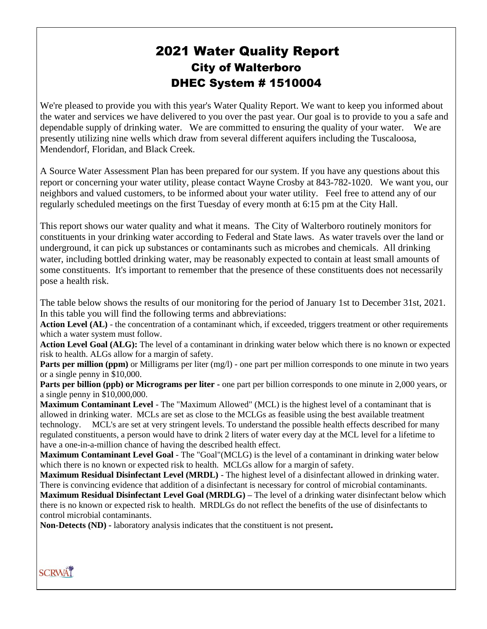# 2021 Water Quality Report City of Walterboro DHEC System # 1510004

We're pleased to provide you with this year's Water Quality Report. We want to keep you informed about the water and services we have delivered to you over the past year. Our goal is to provide to you a safe and dependable supply of drinking water. We are committed to ensuring the quality of your water. We are presently utilizing nine wells which draw from several different aquifers including the Tuscaloosa, Mendendorf, Floridan, and Black Creek.

A Source Water Assessment Plan has been prepared for our system. If you have any questions about this report or concerning your water utility, please contact Wayne Crosby at 843-782-1020. We want you, our neighbors and valued customers, to be informed about your water utility. Feel free to attend any of our regularly scheduled meetings on the first Tuesday of every month at 6:15 pm at the City Hall.

This report shows our water quality and what it means. The City of Walterboro routinely monitors for constituents in your drinking water according to Federal and State laws. As water travels over the land or underground, it can pick up substances or contaminants such as microbes and chemicals. All drinking water, including bottled drinking water, may be reasonably expected to contain at least small amounts of some constituents. It's important to remember that the presence of these constituents does not necessarily pose a health risk.

The table below shows the results of our monitoring for the period of January 1st to December 31st, 2021. In this table you will find the following terms and abbreviations:

Action Level (AL) - the concentration of a contaminant which, if exceeded, triggers treatment or other requirements which a water system must follow.

**Action Level Goal (ALG):** The level of a contaminant in drinking water below which there is no known or expected risk to health. ALGs allow for a margin of safety.

**Parts per million (ppm)** or Milligrams per liter (mg/l) - one part per million corresponds to one minute in two years or a single penny in \$10,000.

**Parts per billion (ppb) or Micrograms per liter -** one part per billion corresponds to one minute in 2,000 years, or a single penny in \$10,000,000.

**Maximum Contaminant Level** - The "Maximum Allowed" (MCL) is the highest level of a contaminant that is allowed in drinking water. MCLs are set as close to the MCLGs as feasible using the best available treatment technology. MCL's are set at very stringent levels. To understand the possible health effects described for many regulated constituents, a person would have to drink 2 liters of water every day at the MCL level for a lifetime to have a one-in-a-million chance of having the described health effect.

**Maximum Contaminant Level Goal** - The "Goal"(MCLG) is the level of a contaminant in drinking water below which there is no known or expected risk to health. MCLGs allow for a margin of safety.

**Maximum Residual Disinfectant Level (MRDL)** - The highest level of a disinfectant allowed in drinking water. There is convincing evidence that addition of a disinfectant is necessary for control of microbial contaminants. **Maximum Residual Disinfectant Level Goal (MRDLG) –** The level of a drinking water disinfectant below which there is no known or expected risk to health. MRDLGs do not reflect the benefits of the use of disinfectants to control microbial contaminants.

**Non-Detects (ND) -** laboratory analysis indicates that the constituent is not present**.**

**SCRWAT**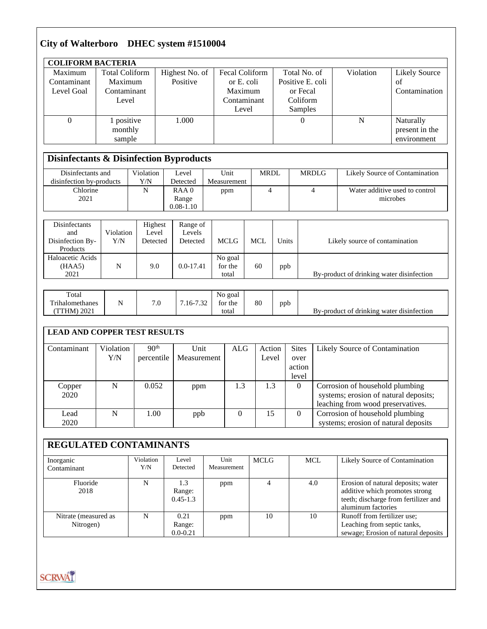### **City of Walterboro DHEC system #1510004**

| <b>COLIFORM BACTERIA</b> |                                                    |                |                |                  |           |                      |  |  |  |
|--------------------------|----------------------------------------------------|----------------|----------------|------------------|-----------|----------------------|--|--|--|
| Maximum                  | <b>Total Coliform</b>                              | Highest No. of | Fecal Coliform | Total No. of     | Violation | <b>Likely Source</b> |  |  |  |
| Contaminant              | Maximum                                            | Positive       | or E. coli     | Positive E. coli |           | of                   |  |  |  |
| Level Goal               | Contaminant                                        |                | Maximum        | or Fecal         |           | Contamination        |  |  |  |
|                          | Level                                              |                | Contaminant    | Coliform         |           |                      |  |  |  |
|                          |                                                    |                | Level          | Samples          |           |                      |  |  |  |
|                          | 1 positive                                         | 1.000          |                | 0                | N         | Naturally            |  |  |  |
|                          | monthly                                            |                |                |                  |           | present in the       |  |  |  |
|                          | sample                                             |                |                |                  |           | environment          |  |  |  |
|                          |                                                    |                |                |                  |           |                      |  |  |  |
|                          | <b>Disinfectants &amp; Disinfection Byproducts</b> |                |                |                  |           |                      |  |  |  |

#### Disinfectants and disinfection by-products Violation Y/N Level Detected Unit **Measurement** MRDL MRDLG Likely Source of Contamination Chlorine 2021 N RAA 0 Range  $0.08 - 1.10$ ppm 4 4 4 Water additive used to control microbes

| Disinfectants<br>and<br>Disinfection By- | Violation<br>Y/N | Highest<br>Level<br>Detected | Range of<br>Levels<br>Detected | <b>MCLG</b> | MCL | Units | Likely source of contamination            |
|------------------------------------------|------------------|------------------------------|--------------------------------|-------------|-----|-------|-------------------------------------------|
| Products                                 |                  |                              |                                |             |     |       |                                           |
| Haloacetic Acids                         |                  |                              |                                | No goal     |     |       |                                           |
| (HAA5)                                   | N                | 9.0                          | $0.0 - 17.41$                  | for the     | 60  | ppb   |                                           |
| 2021                                     |                  |                              |                                | total       |     |       | By-product of drinking water disinfection |

| Total<br>$-1$<br>rihalomethanes | N | 7c<br>v | $.16 - 7.32$ | No goal<br>for the | 80 | ppb |                                           |
|---------------------------------|---|---------|--------------|--------------------|----|-----|-------------------------------------------|
| 2021<br>TTHM                    |   |         |              | total              |    |     | By-product of drinking water disinfection |

#### **LEAD AND COPPER TEST RESULTS**

| Contaminant | Violation | 90 <sup>th</sup> | Unit        | ALG | Action | <b>Sites</b> | Likely Source of Contamination        |
|-------------|-----------|------------------|-------------|-----|--------|--------------|---------------------------------------|
|             | Y/N       | percentile       | Measurement |     | Level  | over         |                                       |
|             |           |                  |             |     |        | action       |                                       |
|             |           |                  |             |     |        | level        |                                       |
| Copper      | N         | 0.052            | ppm         | 1.3 | 1.3    |              | Corrosion of household plumbing       |
| 2020        |           |                  |             |     |        |              | systems; erosion of natural deposits; |
|             |           |                  |             |     |        |              | leaching from wood preservatives.     |
| Lead        | N         | 1.00             | ppb         | 0   | 15     |              | Corrosion of household plumbing       |
| 2020        |           |                  |             |     |        |              | systems; erosion of natural deposits  |

## **REGULATED CONTAMINANTS**

| Inorganic            | Violation | Level        | Unit        | <b>MCLG</b> | MCL | Likely Source of Contamination       |
|----------------------|-----------|--------------|-------------|-------------|-----|--------------------------------------|
| Contaminant          | Y/N       | Detected     | Measurement |             |     |                                      |
| Fluoride             | N         | 1.3          | ppm         |             | 4.0 | Erosion of natural deposits; water   |
| 2018                 |           | Range:       |             |             |     | additive which promotes strong       |
|                      |           | $0.45 - 1.3$ |             |             |     | teeth; discharge from fertilizer and |
|                      |           |              |             |             |     | aluminum factories                   |
| Nitrate (measured as | N         | 0.21         | ppm         | 10          | 10  | Runoff from fertilizer use;          |
| Nitrogen)            |           | Range:       |             |             |     | Leaching from septic tanks,          |
|                      |           | $0.0 - 0.21$ |             |             |     | sewage; Erosion of natural deposits  |